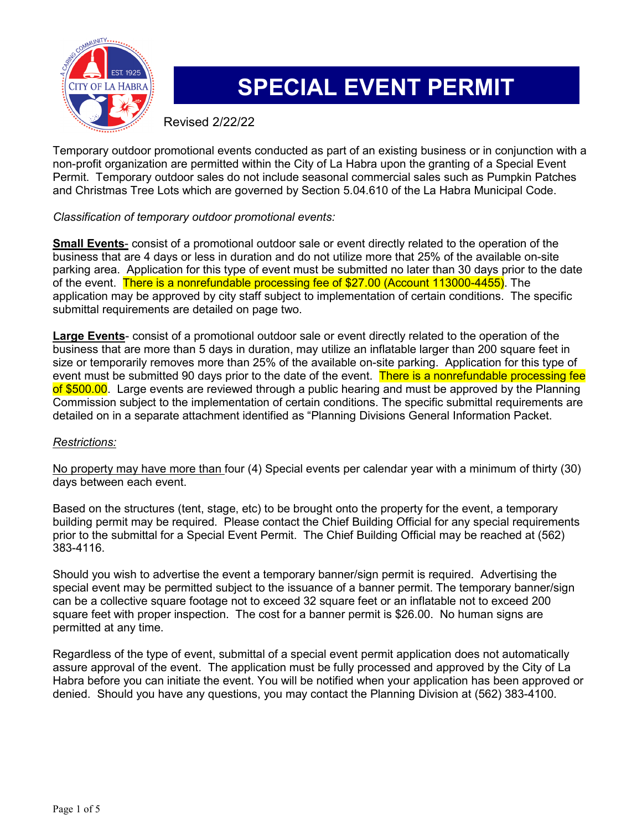

# **SPECIAL EVENT PERMIT**

Revised 2/22/22

Temporary outdoor promotional events conducted as part of an existing business or in conjunction with a non-profit organization are permitted within the City of La Habra upon the granting of a Special Event Permit. Temporary outdoor sales do not include seasonal commercial sales such as Pumpkin Patches and Christmas Tree Lots which are governed by Section 5.04.610 of the La Habra Municipal Code.

#### *Classification of temporary outdoor promotional events:*

**Small Events**- consist of a promotional outdoor sale or event directly related to the operation of the business that are 4 days or less in duration and do not utilize more that 25% of the available on-site parking area. Application for this type of event must be submitted no later than 30 days prior to the date of the event. There is a nonrefundable processing fee of \$27.00 (Account 113000-4455). The application may be approved by city staff subject to implementation of certain conditions. The specific submittal requirements are detailed on page two.

**Large Events**- consist of a promotional outdoor sale or event directly related to the operation of the business that are more than 5 days in duration, may utilize an inflatable larger than 200 square feet in size or temporarily removes more than 25% of the available on-site parking. Application for this type of event must be submitted 90 days prior to the date of the event. There is a nonrefundable processing fee of \$500.00. Large events are reviewed through a public hearing and must be approved by the Planning Commission subject to the implementation of certain conditions. The specific submittal requirements are detailed on in a separate attachment identified as "Planning Divisions General Information Packet.

#### *Restrictions:*

No property may have more than four (4) Special events per calendar year with a minimum of thirty (30) days between each event.

Based on the structures (tent, stage, etc) to be brought onto the property for the event, a temporary building permit may be required. Please contact the Chief Building Official for any special requirements prior to the submittal for a Special Event Permit. The Chief Building Official may be reached at (562) 383-4116.

Should you wish to advertise the event a temporary banner/sign permit is required. Advertising the special event may be permitted subject to the issuance of a banner permit. The temporary banner/sign can be a collective square footage not to exceed 32 square feet or an inflatable not to exceed 200 square feet with proper inspection. The cost for a banner permit is \$26.00. No human signs are permitted at any time.

Regardless of the type of event, submittal of a special event permit application does not automatically assure approval of the event. The application must be fully processed and approved by the City of La Habra before you can initiate the event. You will be notified when your application has been approved or denied. Should you have any questions, you may contact the Planning Division at (562) 383-4100.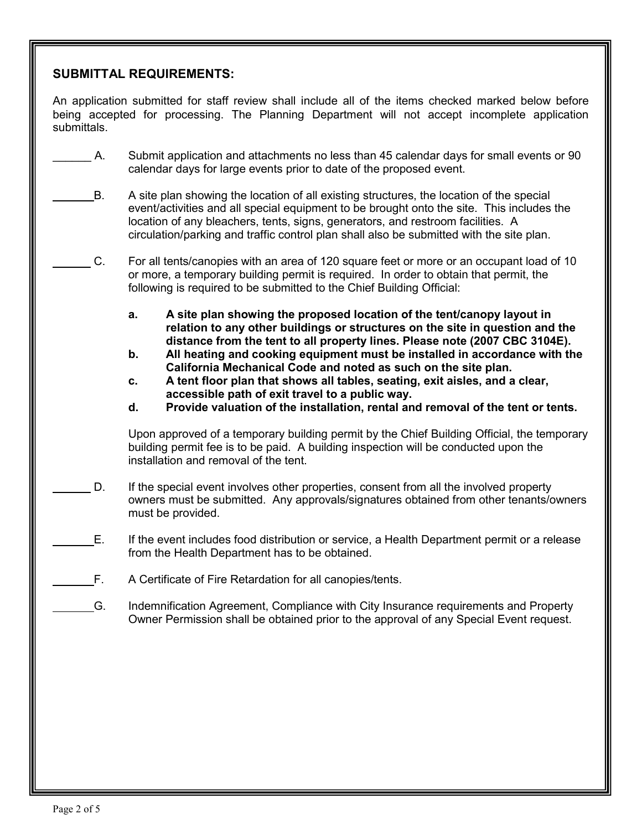#### **SUBMITTAL REQUIREMENTS:**

An application submitted for staff review shall include all of the items checked marked below before being accepted for processing. The Planning Department will not accept incomplete application submittals.

- A. Submit application and attachments no less than 45 calendar days for small events or 90 calendar days for large events prior to date of the proposed event.
- B. A site plan showing the location of all existing structures, the location of the special event/activities and all special equipment to be brought onto the site. This includes the location of any bleachers, tents, signs, generators, and restroom facilities. A circulation/parking and traffic control plan shall also be submitted with the site plan.
- C. For all tents/canopies with an area of 120 square feet or more or an occupant load of 10 or more, a temporary building permit is required. In order to obtain that permit, the following is required to be submitted to the Chief Building Official:
	- **a. A site plan showing the proposed location of the tent/canopy layout in relation to any other buildings or structures on the site in question and the distance from the tent to all property lines. Please note (2007 CBC 3104E).**
	- **b. All heating and cooking equipment must be installed in accordance with the California Mechanical Code and noted as such on the site plan.**
	- **c. A tent floor plan that shows all tables, seating, exit aisles, and a clear, accessible path of exit travel to a public way.**
	- **d. Provide valuation of the installation, rental and removal of the tent or tents.**

 Upon approved of a temporary building permit by the Chief Building Official, the temporary building permit fee is to be paid. A building inspection will be conducted upon the installation and removal of the tent.

- D. If the special event involves other properties, consent from all the involved property owners must be submitted. Any approvals/signatures obtained from other tenants/owners must be provided.
- E. If the event includes food distribution or service, a Health Department permit or a release from the Health Department has to be obtained.
- F. A Certificate of Fire Retardation for all canopies/tents.
	- G. Indemnification Agreement, Compliance with City Insurance requirements and Property Owner Permission shall be obtained prior to the approval of any Special Event request.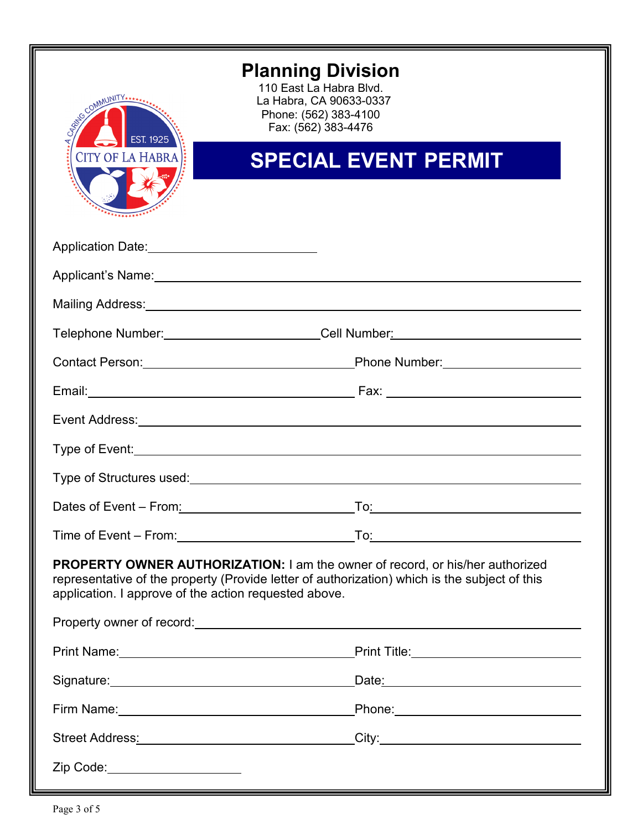

### **Planning Division**

110 East La Habra Blvd. La Habra, CA 90633-0337 Phone: (562) 383-4100 Fax: (562) 383-4476

## **SPECIAL EVENT PERMIT**

| *****************                                                                                                                                                                                                                              |                                       |  |
|------------------------------------------------------------------------------------------------------------------------------------------------------------------------------------------------------------------------------------------------|---------------------------------------|--|
|                                                                                                                                                                                                                                                |                                       |  |
|                                                                                                                                                                                                                                                |                                       |  |
| Mailing Address: <u>Communications</u> and Contract and Contract and Contract and Contract and Contract and Contract and                                                                                                                       |                                       |  |
| Telephone Number: _________________________Cell Number: ________________________                                                                                                                                                               |                                       |  |
|                                                                                                                                                                                                                                                |                                       |  |
|                                                                                                                                                                                                                                                |                                       |  |
|                                                                                                                                                                                                                                                |                                       |  |
|                                                                                                                                                                                                                                                |                                       |  |
|                                                                                                                                                                                                                                                |                                       |  |
|                                                                                                                                                                                                                                                |                                       |  |
|                                                                                                                                                                                                                                                |                                       |  |
| <b>PROPERTY OWNER AUTHORIZATION: I am the owner of record, or his/her authorized</b><br>representative of the property (Provide letter of authorization) which is the subject of this<br>application. I approve of the action requested above. |                                       |  |
|                                                                                                                                                                                                                                                |                                       |  |
|                                                                                                                                                                                                                                                |                                       |  |
|                                                                                                                                                                                                                                                |                                       |  |
| Firm Name: Manual Annual Annual Annual Annual Annual Annual Annual Annual Annual Annual Annual Annual Annual A                                                                                                                                 | _Phone:______________________________ |  |
| Street Address: Management Communication of the Street Address:                                                                                                                                                                                | $\text{City:}\n$                      |  |
| Zip Code:_____________________                                                                                                                                                                                                                 |                                       |  |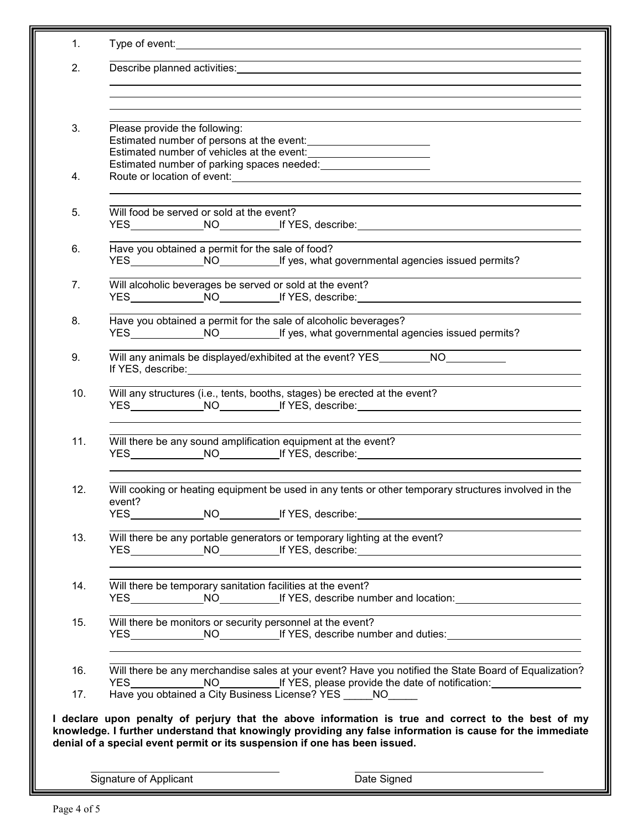| 1.  | Type of event: the contract of the contract of the contract of the contract of the contract of the contract of the contract of the contract of the contract of the contract of the contract of the contract of the contract of                                                                |
|-----|-----------------------------------------------------------------------------------------------------------------------------------------------------------------------------------------------------------------------------------------------------------------------------------------------|
| 2.  | Describe planned activities:                                                                                                                                                                                                                                                                  |
|     |                                                                                                                                                                                                                                                                                               |
| 3.  | Please provide the following:                                                                                                                                                                                                                                                                 |
| 4.  |                                                                                                                                                                                                                                                                                               |
| 5.  | Will food be served or sold at the event?<br>YES______________NO__________If YES, describe:__________________________________                                                                                                                                                                 |
| 6.  | Have you obtained a permit for the sale of food?<br>YES NO NO If yes, what governmental agencies issued permits?                                                                                                                                                                              |
| 7.  | Will alcoholic beverages be served or sold at the event?<br>YES______________NO__________If YES, describe:__________________________________                                                                                                                                                  |
| 8.  | Have you obtained a permit for the sale of alcoholic beverages?<br>YES NO NO If yes, what governmental agencies issued permits?                                                                                                                                                               |
| 9.  | Will any animals be displayed/exhibited at the event? YES__________NO___________                                                                                                                                                                                                              |
| 10. | Will any structures (i.e., tents, booths, stages) be erected at the event?<br>YES______________NO___________If YES, describe:_________________________________                                                                                                                                |
| 11. | Will there be any sound amplification equipment at the event?<br>YES______________NO___________If YES, describe:_________________________________                                                                                                                                             |
| 12. | Will cooking or heating equipment be used in any tents or other temporary structures involved in the<br>event?                                                                                                                                                                                |
| 13. | Will there be any portable generators or temporary lighting at the event?<br>YES______________NO___________If YES, describe:__________________________________                                                                                                                                |
| 14. | Will there be temporary sanitation facilities at the event?<br>YES________________NO______________If YES, describe number and location:___________________________                                                                                                                            |
| 15. | Will there be monitors or security personnel at the event?<br>YES _________________________________If YES, describe number and duties:___________________________<br><u> 1980 - Jan Samuel Barbara, margaret e populari e populari e populari e populari e populari e populari e popu</u>     |
| 16. | Will there be any merchandise sales at your event? Have you notified the State Board of Equalization?<br>YES ________________NO________________If YES, please provide the date of notification: ___________________                                                                           |
| 17. | Have you obtained a City Business License? YES NO                                                                                                                                                                                                                                             |
|     | I declare upon penalty of perjury that the above information is true and correct to the best of my<br>knowledge. I further understand that knowingly providing any false information is cause for the immediate<br>denial of a special event permit or its suspension if one has been issued. |
|     | Date Signed<br>Signature of Applicant                                                                                                                                                                                                                                                         |